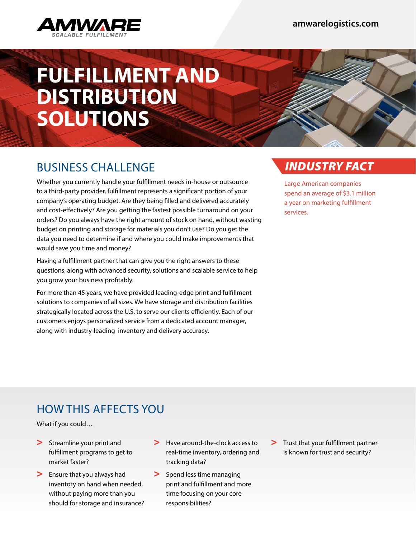

# **FULFILLMENT AND DISTRIBUTION SOLUTIONS**

### BUSINESS CHALLENGE

Whether you currently handle your fulfillment needs in-house or outsource to a third-party provider, fulfillment represents a significant portion of your company's operating budget. Are they being filled and delivered accurately and cost-effectively? Are you getting the fastest possible turnaround on your orders? Do you always have the right amount of stock on hand, without wasting budget on printing and storage for materials you don't use? Do you get the data you need to determine if and where you could make improvements that would save you time and money?

Having a fulfillment partner that can give you the right answers to these questions, along with advanced security, solutions and scalable service to help you grow your business profitably.

For more than 45 years, we have provided leading-edge print and fulfillment solutions to companies of all sizes. We have storage and distribution facilities strategically located across the U.S. to serve our clients efficiently. Each of our customers enjoys personalized service from a dedicated account manager, along with industry-leading inventory and delivery accuracy.

### *INDUSTRY FACT*

Large American companies spend an average of \$3.1 million a year on marketing fulfillment services.

## HOW THIS AFFECTS YOU

What if you could…

- > Streamline your print and fulfillment programs to get to market faster?
- > Ensure that you always had inventory on hand when needed, without paying more than you should for storage and insurance?
- > Have around-the-clock access to real-time inventory, ordering and tracking data?
- > Spend less time managing print and fulfillment and more time focusing on your core responsibilities?
- > Trust that your fulfillment partner is known for trust and security?